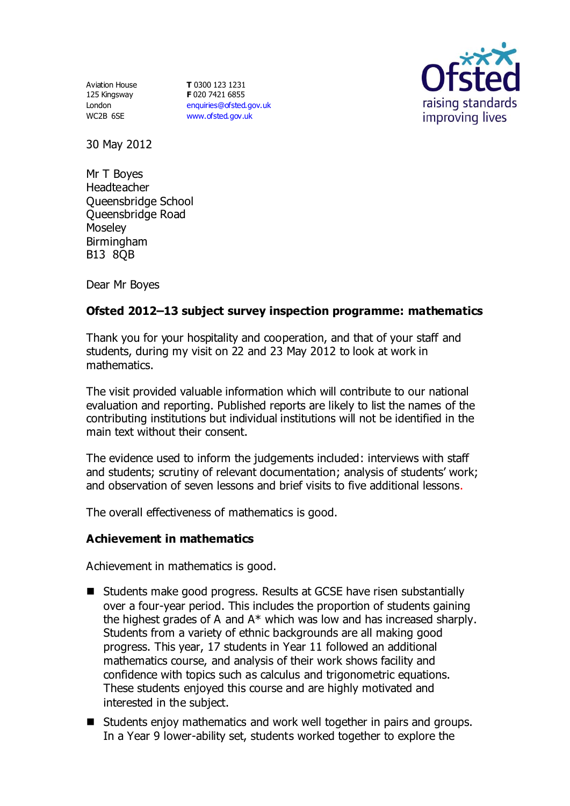Aviation House 125 Kingsway London WC2B 6SE

**T** 0300 123 1231 **F** 020 7421 6855 [enquiries@ofsted.gov.uk](mailto:enquiries@ofsted.gov.uk) [www.ofsted.gov.uk](http://www.ofsted.gov.uk/)



30 May 2012

Mr T Boyes Headteacher Queensbridge School Queensbridge Road Moseley **Birmingham** B13 8QB

Dear Mr Boyes

# **Ofsted 2012–13 subject survey inspection programme: mathematics**

Thank you for your hospitality and cooperation, and that of your staff and students, during my visit on 22 and 23 May 2012 to look at work in mathematics.

The visit provided valuable information which will contribute to our national evaluation and reporting. Published reports are likely to list the names of the contributing institutions but individual institutions will not be identified in the main text without their consent.

The evidence used to inform the judgements included: interviews with staff and students; scrutiny of relevant documentation; analysis of students' work; and observation of seven lessons and brief visits to five additional lessons.

The overall effectiveness of mathematics is good.

## **Achievement in mathematics**

Achievement in mathematics is good.

- Students make good progress. Results at GCSE have risen substantially over a four-year period. This includes the proportion of students gaining the highest grades of A and A\* which was low and has increased sharply. Students from a variety of ethnic backgrounds are all making good progress. This year, 17 students in Year 11 followed an additional mathematics course, and analysis of their work shows facility and confidence with topics such as calculus and trigonometric equations. These students enjoyed this course and are highly motivated and interested in the subject.
- Students enjoy mathematics and work well together in pairs and groups. In a Year 9 lower-ability set, students worked together to explore the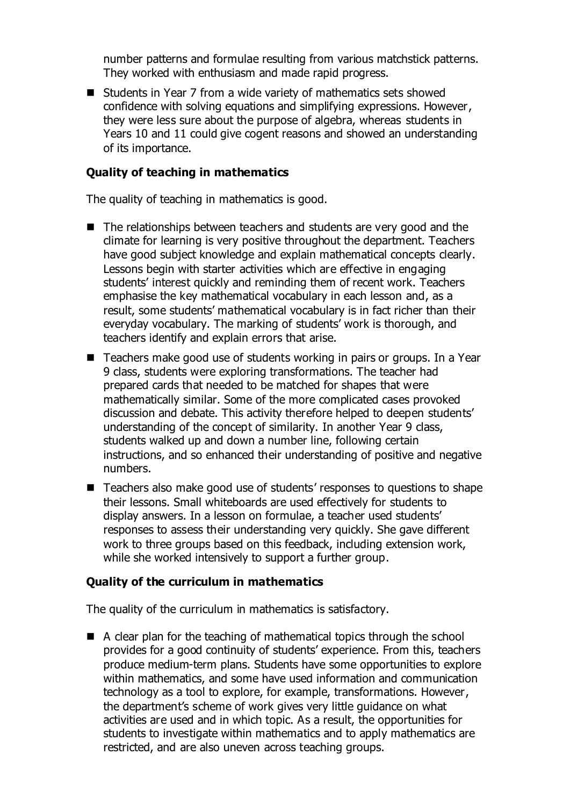number patterns and formulae resulting from various matchstick patterns. They worked with enthusiasm and made rapid progress.

■ Students in Year 7 from a wide variety of mathematics sets showed confidence with solving equations and simplifying expressions. However, they were less sure about the purpose of algebra, whereas students in Years 10 and 11 could give cogent reasons and showed an understanding of its importance.

### **Quality of teaching in mathematics**

The quality of teaching in mathematics is good.

- The relationships between teachers and students are very good and the climate for learning is very positive throughout the department. Teachers have good subject knowledge and explain mathematical concepts clearly. Lessons begin with starter activities which are effective in engaging students' interest quickly and reminding them of recent work. Teachers emphasise the key mathematical vocabulary in each lesson and, as a result, some students' mathematical vocabulary is in fact richer than their everyday vocabulary. The marking of students' work is thorough, and teachers identify and explain errors that arise.
- Teachers make good use of students working in pairs or groups. In a Year 9 class, students were exploring transformations. The teacher had prepared cards that needed to be matched for shapes that were mathematically similar. Some of the more complicated cases provoked discussion and debate. This activity therefore helped to deepen students' understanding of the concept of similarity. In another Year 9 class, students walked up and down a number line, following certain instructions, and so enhanced their understanding of positive and negative numbers.
- Teachers also make good use of students' responses to questions to shape their lessons. Small whiteboards are used effectively for students to display answers. In a lesson on formulae, a teacher used students' responses to assess their understanding very quickly. She gave different work to three groups based on this feedback, including extension work, while she worked intensively to support a further group.

## **Quality of the curriculum in mathematics**

The quality of the curriculum in mathematics is satisfactory.

 $\blacksquare$  A clear plan for the teaching of mathematical topics through the school provides for a good continuity of students' experience. From this, teachers produce medium-term plans. Students have some opportunities to explore within mathematics, and some have used information and communication technology as a tool to explore, for example, transformations. However, the department's scheme of work gives very little guidance on what activities are used and in which topic. As a result, the opportunities for students to investigate within mathematics and to apply mathematics are restricted, and are also uneven across teaching groups.